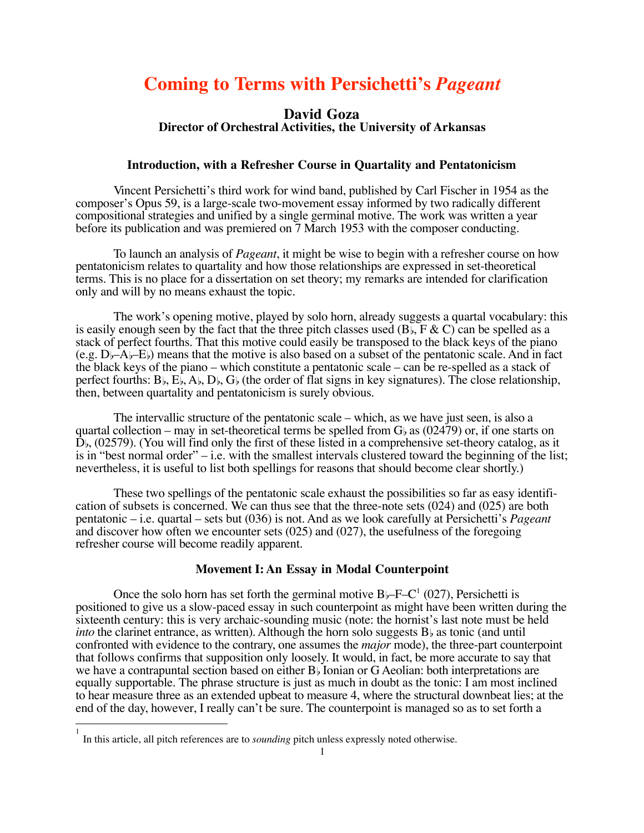# **Coming to Terms with Persichetti's** *Pageant*

### **David Goza Director of Orchestral Activities, the University of Arkansas**

#### **Introduction, with a Refresher Course in Quartality and Pentatonicism**

Vincent Persichetti's third work for wind band, published by Carl Fischer in 1954 as the composer's Opus 59, is a large-scale two-movement essay informed by two radically different compositional strategies and unified by a single germinal motive. The work was written a year before its publication and was premiered on 7 March 1953 with the composer conducting.

To launch an analysis of *Pageant*, it might be wise to begin with a refresher course on how pentatonicism relates to quartality and how those relationships are expressed in set-theoretical terms. This is no place for a dissertation on set theory; my remarks are intended for clarification only and will by no means exhaust the topic.

The work's opening motive, played by solo horn, already suggests a quartal vocabulary: this is easily enough seen by the fact that the three pitch classes used  $(B_{\flat}, F \& C)$  can be spelled as a stack of perfect fourths. That this motive could easily be transposed to the black keys of the piano (e.g.  $D_{\nu}-A_{\nu}-E_{\nu}$ ) means that the motive is also based on a subset of the pentatonic scale. And in fact the black keys of the piano – which constitute a pentatonic scale – can be re-spelled as a stack of perfect fourths:  $B_{\flat}$ ,  $E_{\flat}$ ,  $A_{\flat}$ ,  $D_{\flat}$ ,  $G_{\flat}$  (the order of flat signs in key signatures). The close relationship, then, between quartality and pentatonicism is surely obvious.

The intervallic structure of the pentatonic scale – which, as we have just seen, is also a quartal collection – may in set-theoretical terms be spelled from  $G_b$  as (02479) or, if one starts on  $D<sub>b</sub>$ , (02579). (You will find only the first of these listed in a comprehensive set-theory catalog, as it is in "best normal order" – i.e. with the smallest intervals clustered toward the beginning of the list; nevertheless, it is useful to list both spellings for reasons that should become clear shortly.)

These two spellings of the pentatonic scale exhaust the possibilities so far as easy identification of subsets is concerned. We can thus see that the three-note sets (024) and (025) are both pentatonic – i.e. quartal – sets but (036) is not. And as we look carefully at Persichetti's *Pageant* and discover how often we encounter sets (025) and (027), the usefulness of the foregoing refresher course will become readily apparent.

#### **Movement I: An Essay in Modal Counterpoint**

Once the solo horn has set forth the germinal motive  $B \rightarrow F-C^1$  (027), Persichetti is positioned to give us a slow-paced essay in such counterpoint as might have been written during the sixteenth century: this is very archaic-sounding music (note: the hornist's last note must be held *into* the clarinet entrance, as written). Although the horn solo suggests  $B<sub>b</sub>$  as tonic (and until confronted with evidence to the contrary, one assumes the *major* mode), the three-part counterpoint that follows confirms that supposition only loosely. It would, in fact, be more accurate to say that we have a contrapuntal section based on either  $B$  Ionian or G Aeolian: both interpretations are equally supportable. The phrase structure is just as much in doubt as the tonic: I am most inclined to hear measure three as an extended upbeat to measure 4, where the structural downbeat lies; at the end of the day, however, I really can't be sure. The counterpoint is managed so as to set forth a

 $\overline{\phantom{a}}$ 

<sup>1</sup> In this article, all pitch references are to *sounding* pitch unless expressly noted otherwise.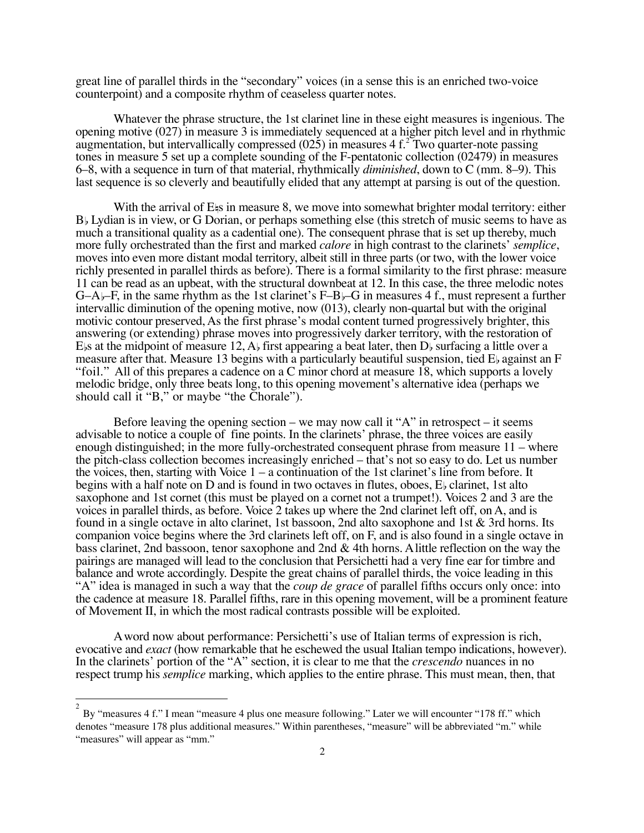great line of parallel thirds in the "secondary" voices (in a sense this is an enriched two-voice counterpoint) and a composite rhythm of ceaseless quarter notes.

Whatever the phrase structure, the 1st clarinet line in these eight measures is ingenious. The opening motive (027) in measure 3 is immediately sequenced at a higher pitch level and in rhythmic augmentation, but intervallically compressed (025) in measures 4 f.<sup>2</sup> Two quarter-note passing tones in measure 5 set up a complete sounding of the F-pentatonic collection (02479) in measures 6–8, with a sequence in turn of that material, rhythmically *diminished*, down to C (mm. 8–9). This last sequence is so cleverly and beautifully elided that any attempt at parsing is out of the question.

With the arrival of E<sup>s</sup> in measure 8, we move into somewhat brighter modal territory: either B<sub>b</sub> Lydian is in view, or G Dorian, or perhaps something else (this stretch of music seems to have as much a transitional quality as a cadential one). The consequent phrase that is set up thereby, much more fully orchestrated than the first and marked *calore* in high contrast to the clarinets' *semplice*, moves into even more distant modal territory, albeit still in three parts (or two, with the lower voice richly presented in parallel thirds as before). There is a formal similarity to the first phrase: measure 11 can be read as an upbeat, with the structural downbeat at 12. In this case, the three melodic notes  $G-A$ –F, in the same rhythm as the 1st clarinet's F–B–G in measures 4 f., must represent a further intervallic diminution of the opening motive, now (013), clearly non-quartal but with the original motivic contour preserved, As the first phrase's modal content turned progressively brighter, this answering (or extending) phrase moves into progressively darker territory, with the restoration of E<sub>bs</sub> at the midpoint of measure 12, A<sub>b</sub> first appearing a beat later, then D<sub>b</sub> surfacing a little over a measure after that. Measure 13 begins with a particularly beautiful suspension, tied  $E_{\rm b}$  against an F "foil." All of this prepares a cadence on a C minor chord at measure 18, which supports a lovely melodic bridge, only three beats long, to this opening movement's alternative idea (perhaps we should call it "B," or maybe "the Chorale").

Before leaving the opening section – we may now call it " $A$ " in retrospect – it seems advisable to notice a couple of fine points. In the clarinets' phrase, the three voices are easily enough distinguished; in the more fully-orchestrated consequent phrase from measure 11 – where the pitch-class collection becomes increasingly enriched – that's not so easy to do. Let us number the voices, then, starting with Voice  $1 - a$  continuation of the 1st clarinet's line from before. It begins with a half note on D and is found in two octaves in flutes, oboes,  $E<sub>b</sub>$  clarinet, 1st alto saxophone and 1st cornet (this must be played on a cornet not a trumpet!). Voices 2 and 3 are the voices in parallel thirds, as before. Voice 2 takes up where the 2nd clarinet left off, on A, and is found in a single octave in alto clarinet, 1st bassoon, 2nd alto saxophone and 1st & 3rd horns. Its companion voice begins where the 3rd clarinets left off, on F, and is also found in a single octave in bass clarinet, 2nd bassoon, tenor saxophone and 2nd & 4th horns. A little reflection on the way the pairings are managed will lead to the conclusion that Persichetti had a very fine ear for timbre and balance and wrote accordingly. Despite the great chains of parallel thirds, the voice leading in this "A" idea is managed in such a way that the *coup de grace* of parallel fifths occurs only once: into the cadence at measure 18. Parallel fifths, rare in this opening movement, will be a prominent feature of Movement II, in which the most radical contrasts possible will be exploited.

A word now about performance: Persichetti's use of Italian terms of expression is rich, evocative and *exact* (how remarkable that he eschewed the usual Italian tempo indications, however). In the clarinets' portion of the "A" section, it is clear to me that the *crescendo* nuances in no respect trump his *semplice* marking, which applies to the entire phrase. This must mean, then, that

 $\overline{\phantom{a}}$ 

<sup>2</sup> By "measures 4 f." I mean "measure 4 plus one measure following." Later we will encounter "178 ff." which denotes "measure 178 plus additional measures." Within parentheses, "measure" will be abbreviated "m." while "measures" will appear as "mm."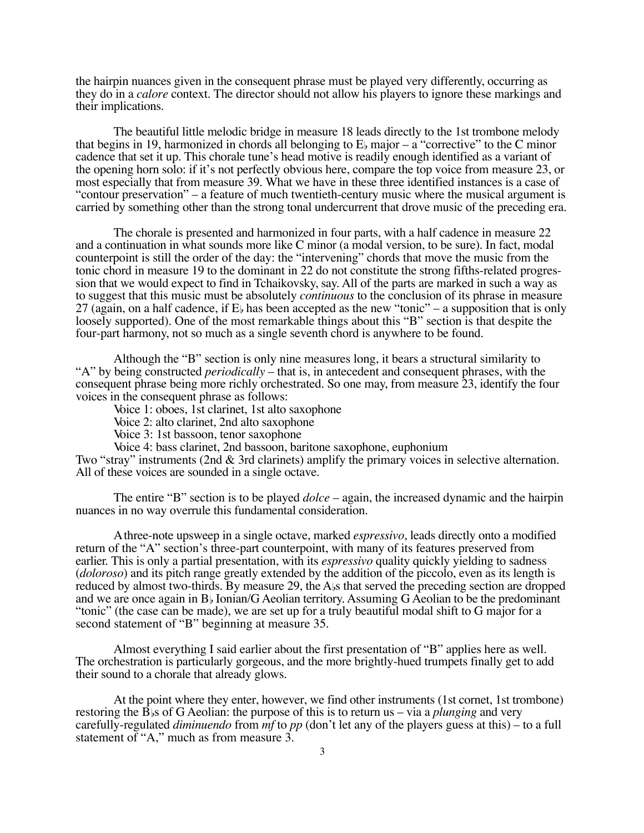the hairpin nuances given in the consequent phrase must be played very differently, occurring as they do in a *calore* context. The director should not allow his players to ignore these markings and their implications.

The beautiful little melodic bridge in measure 18 leads directly to the 1st trombone melody that begins in 19, harmonized in chords all belonging to  $E<sub>b</sub>$  major – a "corrective" to the C minor cadence that set it up. This chorale tune's head motive is readily enough identified as a variant of the opening horn solo: if it's not perfectly obvious here, compare the top voice from measure 23, or most especially that from measure 39. What we have in these three identified instances is a case of "contour preservation" – a feature of much twentieth-century music where the musical argument is carried by something other than the strong tonal undercurrent that drove music of the preceding era.

The chorale is presented and harmonized in four parts, with a half cadence in measure 22 and a continuation in what sounds more like C minor (a modal version, to be sure). In fact, modal counterpoint is still the order of the day: the "intervening" chords that move the music from the tonic chord in measure 19 to the dominant in 22 do not constitute the strong fifths-related progression that we would expect to find in Tchaikovsky, say. All of the parts are marked in such a way as to suggest that this music must be absolutely *continuous* to the conclusion of its phrase in measure 27 (again, on a half cadence, if  $E_{\rm b}$  has been accepted as the new "tonic" – a supposition that is only loosely supported). One of the most remarkable things about this "B" section is that despite the four-part harmony, not so much as a single seventh chord is anywhere to be found.

Although the "B" section is only nine measures long, it bears a structural similarity to "A" by being constructed *periodically* – that is, in antecedent and consequent phrases, with the consequent phrase being more richly orchestrated. So one may, from measure 23, identify the four voices in the consequent phrase as follows:

Voice 1: oboes, 1st clarinet, 1st alto saxophone

Voice 2: alto clarinet, 2nd alto saxophone

Voice 3: 1st bassoon, tenor saxophone

Voice 4: bass clarinet, 2nd bassoon, baritone saxophone, euphonium

Two "stray" instruments (2nd & 3rd clarinets) amplify the primary voices in selective alternation. All of these voices are sounded in a single octave.

The entire "B" section is to be played *dolce* – again, the increased dynamic and the hairpin nuances in no way overrule this fundamental consideration.

A three-note upsweep in a single octave, marked *espressivo*, leads directly onto a modified return of the "A" section's three-part counterpoint, with many of its features preserved from earlier. This is only a partial presentation, with its *espressivo* quality quickly yielding to sadness (*doloroso*) and its pitch range greatly extended by the addition of the piccolo, even as its length is reduced by almost two-thirds. By measure 29, the A<sub>bs</sub> that served the preceding section are dropped and we are once again in  $B<sub>b</sub>$  Ionian/G Aeolian territory. Assuming G Aeolian to be the predominant "tonic" (the case can be made), we are set up for a truly beautiful modal shift to G major for a second statement of "B" beginning at measure 35.

Almost everything I said earlier about the first presentation of "B" applies here as well. The orchestration is particularly gorgeous, and the more brightly-hued trumpets finally get to add their sound to a chorale that already glows.

At the point where they enter, however, we find other instruments (1st cornet, 1st trombone) restoring the  $\overline{B}$ <sub>b</sub>s of G Aeolian: the purpose of this is to return us – via a *plunging* and very carefully-regulated *diminuendo* from *mf* to *pp* (don't let any of the players guess at this) – to a full statement of "A," much as from measure 3.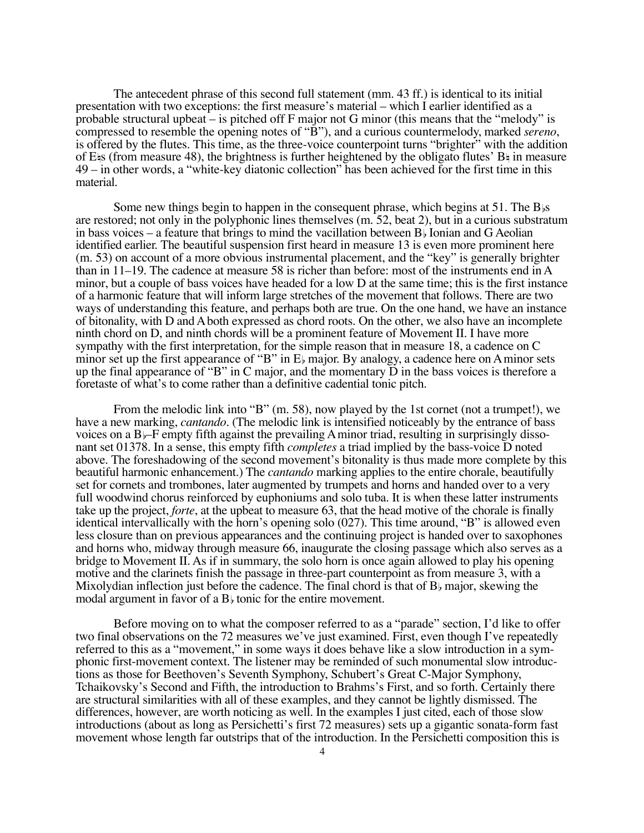The antecedent phrase of this second full statement (mm. 43 ff.) is identical to its initial presentation with two exceptions: the first measure's material – which I earlier identified as a probable structural upbeat – is pitched off F major not G minor (this means that the "melody" is compressed to resemble the opening notes of "B"), and a curious countermelody, marked *sereno*, is offered by the flutes. This time, as the three-voice counterpoint turns "brighter" with the addition of E $\sharp$ s (from measure 48), the brightness is further heightened by the obligato flutes' B $\sharp$  in measure 49 – in other words, a "white-key diatonic collection" has been achieved for the first time in this material.

Some new things begin to happen in the consequent phrase, which begins at  $51$ . The  $B_{\beta}s$ are restored; not only in the polyphonic lines themselves (m. 52, beat 2), but in a curious substratum in bass voices – a feature that brings to mind the vacillation between  $B<sub>b</sub>$  Ionian and G Aeolian identified earlier. The beautiful suspension first heard in measure 13 is even more prominent here (m. 53) on account of a more obvious instrumental placement, and the "key" is generally brighter than in 11–19. The cadence at measure 58 is richer than before: most of the instruments end in A minor, but a couple of bass voices have headed for a low D at the same time; this is the first instance of a harmonic feature that will inform large stretches of the movement that follows. There are two ways of understanding this feature, and perhaps both are true. On the one hand, we have an instance of bitonality, with D and A both expressed as chord roots. On the other, we also have an incomplete ninth chord on D, and ninth chords will be a prominent feature of Movement II. I have more sympathy with the first interpretation, for the simple reason that in measure 18, a cadence on C minor set up the first appearance of "B" in  $E$  major. By analogy, a cadence here on A minor sets up the final appearance of "B" in C major, and the momentary D in the bass voices is therefore a foretaste of what's to come rather than a definitive cadential tonic pitch.

From the melodic link into "B" (m. 58), now played by the 1st cornet (not a trumpet!), we have a new marking, *cantando*. (The melodic link is intensified noticeably by the entrance of bass voices on a  $B$ –F empty fifth against the prevailing A minor triad, resulting in surprisingly dissonant set 01378. In a sense, this empty fifth *completes* a triad implied by the bass-voice D noted above. The foreshadowing of the second movement's bitonality is thus made more complete by this beautiful harmonic enhancement.) The *cantando* marking applies to the entire chorale, beautifully set for cornets and trombones, later augmented by trumpets and horns and handed over to a very full woodwind chorus reinforced by euphoniums and solo tuba. It is when these latter instruments take up the project, *forte*, at the upbeat to measure 63, that the head motive of the chorale is finally identical intervallically with the horn's opening solo (027). This time around, "B" is allowed even less closure than on previous appearances and the continuing project is handed over to saxophones and horns who, midway through measure 66, inaugurate the closing passage which also serves as a bridge to Movement II. As if in summary, the solo horn is once again allowed to play his opening motive and the clarinets finish the passage in three-part counterpoint as from measure 3, with a Mixolydian inflection just before the cadence. The final chord is that of  $B<sub>b</sub>$  major, skewing the modal argument in favor of a  $B<sub>b</sub>$  tonic for the entire movement.

Before moving on to what the composer referred to as a "parade" section, I'd like to offer two final observations on the 72 measures we've just examined. First, even though I've repeatedly referred to this as a "movement," in some ways it does behave like a slow introduction in a symphonic first-movement context. The listener may be reminded of such monumental slow introductions as those for Beethoven's Seventh Symphony, Schubert's Great C-Major Symphony, Tchaikovsky's Second and Fifth, the introduction to Brahms's First, and so forth. Certainly there are structural similarities with all of these examples, and they cannot be lightly dismissed. The differences, however, are worth noticing as well. In the examples I just cited, each of those slow introductions (about as long as Persichetti's first 72 measures) sets up a gigantic sonata-form fast movement whose length far outstrips that of the introduction. In the Persichetti composition this is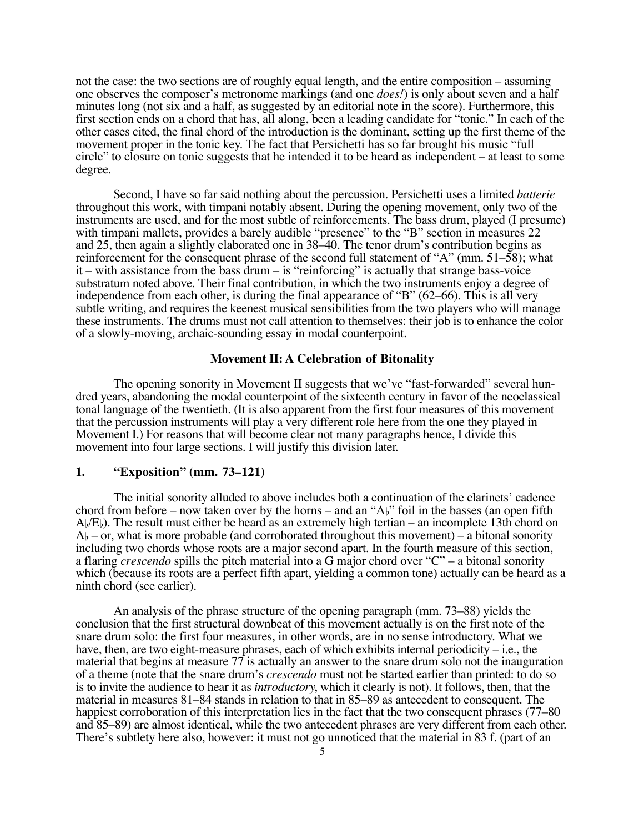not the case: the two sections are of roughly equal length, and the entire composition – assuming one observes the composer's metronome markings (and one *does!*) is only about seven and a half minutes long (not six and a half, as suggested by an editorial note in the score). Furthermore, this first section ends on a chord that has, all along, been a leading candidate for "tonic." In each of the other cases cited, the final chord of the introduction is the dominant, setting up the first theme of the movement proper in the tonic key. The fact that Persichetti has so far brought his music "full circle" to closure on tonic suggests that he intended it to be heard as independent – at least to some degree.

Second, I have so far said nothing about the percussion. Persichetti uses a limited *batterie* throughout this work, with timpani notably absent. During the opening movement, only two of the instruments are used, and for the most subtle of reinforcements. The bass drum, played (I presume) with timpani mallets, provides a barely audible "presence" to the "B" section in measures 22 and 25, then again a slightly elaborated one in 38–40. The tenor drum's contribution begins as reinforcement for the consequent phrase of the second full statement of "A" (mm.  $51-\overline{58}$ ); what it – with assistance from the bass drum – is "reinforcing" is actually that strange bass-voice substratum noted above. Their final contribution, in which the two instruments enjoy a degree of independence from each other, is during the final appearance of "B" (62–66). This is all very subtle writing, and requires the keenest musical sensibilities from the two players who will manage these instruments. The drums must not call attention to themselves: their job is to enhance the color of a slowly-moving, archaic-sounding essay in modal counterpoint.

#### **Movement II: A Celebration of Bitonality**

The opening sonority in Movement II suggests that we've "fast-forwarded" several hundred years, abandoning the modal counterpoint of the sixteenth century in favor of the neoclassical tonal language of the twentieth. (It is also apparent from the first four measures of this movement that the percussion instruments will play a very different role here from the one they played in Movement I.) For reasons that will become clear not many paragraphs hence, I divide this movement into four large sections. I will justify this division later.

#### **1. "Exposition" (mm. 73–121)**

The initial sonority alluded to above includes both a continuation of the clarinets' cadence chord from before – now taken over by the horns – and an " $A$ )" foil in the basses (an open fifth  $A/\sqrt{E}$ ). The result must either be heard as an extremely high tertian – an incomplete 13th chord on  $A<sub>b</sub>$  – or, what is more probable (and corroborated throughout this movement) – a bitonal sonority including two chords whose roots are a major second apart. In the fourth measure of this section, a flaring *crescendo* spills the pitch material into a G major chord over "C" – a bitonal sonority which (because its roots are a perfect fifth apart, yielding a common tone) actually can be heard as a ninth chord (see earlier).

An analysis of the phrase structure of the opening paragraph (mm. 73–88) yields the conclusion that the first structural downbeat of this movement actually is on the first note of the snare drum solo: the first four measures, in other words, are in no sense introductory. What we have, then, are two eight-measure phrases, each of which exhibits internal periodicity – i.e., the material that begins at measure 77 is actually an answer to the snare drum solo not the inauguration of a theme (note that the snare drum's *crescendo* must not be started earlier than printed: to do so is to invite the audience to hear it as *introductory*, which it clearly is not). It follows, then, that the material in measures 81–84 stands in relation to that in 85–89 as antecedent to consequent. The happiest corroboration of this interpretation lies in the fact that the two consequent phrases (77–80) and 85–89) are almost identical, while the two antecedent phrases are very different from each other. There's subtlety here also, however: it must not go unnoticed that the material in 83 f. (part of an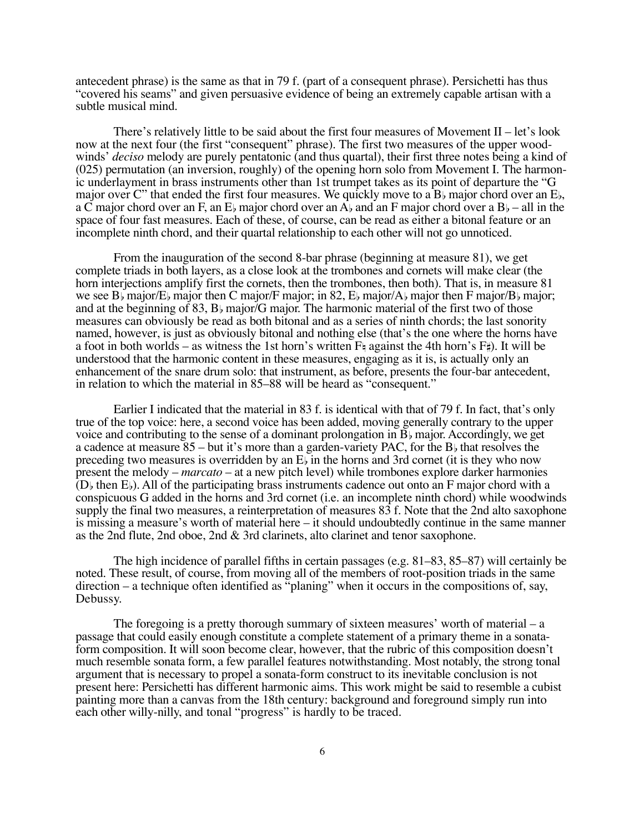antecedent phrase) is the same as that in 79 f. (part of a consequent phrase). Persichetti has thus "covered his seams" and given persuasive evidence of being an extremely capable artisan with a subtle musical mind.

There's relatively little to be said about the first four measures of Movement  $II$  – let's look now at the next four (the first "consequent" phrase). The first two measures of the upper woodwinds' *deciso* melody are purely pentatonic (and thus quartal), their first three notes being a kind of (025) permutation (an inversion, roughly) of the opening horn solo from Movement I. The harmonic underlayment in brass instruments other than 1st trumpet takes as its point of departure the "G major over C" that ended the first four measures. We quickly move to a  $B_{\flat}$  major chord over an  $E_{\flat}$ , a C major chord over an F, an E<sub>b</sub> major chord over an A<sub>b</sub> and an F major chord over a B<sub>b</sub> – all in the space of four fast measures. Each of these, of course, can be read as either a bitonal feature or an incomplete ninth chord, and their quartal relationship to each other will not go unnoticed.

From the inauguration of the second 8-bar phrase (beginning at measure 81), we get complete triads in both layers, as a close look at the trombones and cornets will make clear (the horn interjections amplify first the cornets, then the trombones, then both). That is, in measure 81 we see B<sub>b</sub> major/E<sub>b</sub> major then C major/F major; in 82, E<sub>b</sub> major/A<sub>b</sub> major then F major/B<sub>b</sub> major; and at the beginning of 83,  $B_b$  major/G major. The harmonic material of the first two of those measures can obviously be read as both bitonal and as a series of ninth chords; the last sonority named, however, is just as obviously bitonal and nothing else (that's the one where the horns have a foot in both worlds – as witness the 1st horn's written  $F_{\frac{1}{2}}$  against the 4th horn's  $F_{\frac{1}{2}}$ ). It will be understood that the harmonic content in these measures, engaging as it is, is actually only an enhancement of the snare drum solo: that instrument, as before, presents the four-bar antecedent, in relation to which the material in 85–88 will be heard as "consequent."

Earlier I indicated that the material in 83 f. is identical with that of 79 f. In fact, that's only true of the top voice: here, a second voice has been added, moving generally contrary to the upper voice and contributing to the sense of a dominant prolongation in  $B<sub>b</sub>$  major. Accordingly, we get a cadence at measure  $85$  – but it's more than a garden-variety PAC, for the B<sub>b</sub> that resolves the preceding two measures is overridden by an  $E_{\rm b}$  in the horns and 3rd cornet (it is they who now present the melody – *marcato* – at a new pitch level) while trombones explore darker harmonies  $(D)$  then  $E$ ). All of the participating brass instruments cadence out onto an F major chord with a conspicuous G added in the horns and 3rd cornet (i.e. an incomplete ninth chord) while woodwinds supply the final two measures, a reinterpretation of measures 83 f. Note that the 2nd alto saxophone is missing a measure's worth of material here – it should undoubtedly continue in the same manner as the 2nd flute, 2nd oboe, 2nd & 3rd clarinets, alto clarinet and tenor saxophone.

The high incidence of parallel fifths in certain passages (e.g. 81–83, 85–87) will certainly be noted. These result, of course, from moving all of the members of root-position triads in the same direction – a technique often identified as "planing" when it occurs in the compositions of, say, Debussy.

The foregoing is a pretty thorough summary of sixteen measures' worth of material – a passage that could easily enough constitute a complete statement of a primary theme in a sonataform composition. It will soon become clear, however, that the rubric of this composition doesn't much resemble sonata form, a few parallel features notwithstanding. Most notably, the strong tonal argument that is necessary to propel a sonata-form construct to its inevitable conclusion is not present here: Persichetti has different harmonic aims. This work might be said to resemble a cubist painting more than a canvas from the 18th century: background and foreground simply run into each other willy-nilly, and tonal "progress" is hardly to be traced.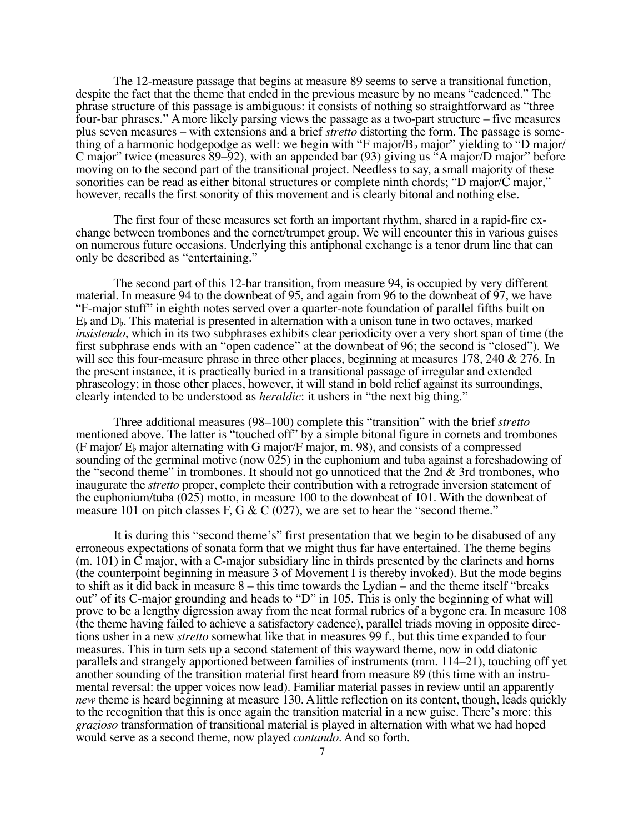The 12-measure passage that begins at measure 89 seems to serve a transitional function, despite the fact that the theme that ended in the previous measure by no means "cadenced." The phrase structure of this passage is ambiguous: it consists of nothing so straightforward as "three four-bar phrases." A more likely parsing views the passage as a two-part structure – five measures plus seven measures – with extensions and a brief *stretto* distorting the form. The passage is something of a harmonic hodgepodge as well: we begin with "F major $\overline{B}$  major" yielding to "D major/ C major" twice (measures 89–92), with an appended bar (93) giving us "A major/D major" before moving on to the second part of the transitional project. Needless to say, a small majority of these sonorities can be read as either bitonal structures or complete ninth chords; "D major/C major," however, recalls the first sonority of this movement and is clearly bitonal and nothing else.

The first four of these measures set forth an important rhythm, shared in a rapid-fire exchange between trombones and the cornet/trumpet group. We will encounter this in various guises on numerous future occasions. Underlying this antiphonal exchange is a tenor drum line that can only be described as "entertaining."

The second part of this 12-bar transition, from measure 94, is occupied by very different material. In measure 94 to the downbeat of 95, and again from 96 to the downbeat of 97, we have "F-major stuff" in eighth notes served over a quarter-note foundation of parallel fifths built on  $E<sub>b</sub>$  and  $D<sub>b</sub>$ . This material is presented in alternation with a unison tune in two octaves, marked *insistendo*, which in its two subphrases exhibits clear periodicity over a very short span of time (the first subphrase ends with an "open cadence" at the downbeat of 96; the second is "closed"). We will see this four-measure phrase in three other places, beginning at measures 178, 240 & 276. In the present instance, it is practically buried in a transitional passage of irregular and extended phraseology; in those other places, however, it will stand in bold relief against its surroundings, clearly intended to be understood as *heraldic*: it ushers in "the next big thing."

Three additional measures (98–100) complete this "transition" with the brief *stretto* mentioned above. The latter is "touched off" by a simple bitonal figure in cornets and trombones (F major/ $E_b$  major alternating with G major/F major, m. 98), and consists of a compressed sounding of the germinal motive (now 025) in the euphonium and tuba against a foreshadowing of the "second theme" in trombones. It should not go unnoticed that the 2nd  $\&$  3rd trombones, who inaugurate the *stretto* proper, complete their contribution with a retrograde inversion statement of the euphonium/tuba  $(0.025)$  motto, in measure 100 to the downbeat of 101. With the downbeat of measure 101 on pitch classes F, G & C  $(027)$ , we are set to hear the "second theme."

It is during this "second theme's" first presentation that we begin to be disabused of any erroneous expectations of sonata form that we might thus far have entertained. The theme begins  $(m. 101)$  in  $\overline{C}$  major, with a C-major subsidiary line in thirds presented by the clarinets and horns (the counterpoint beginning in measure 3 of Movement I is thereby invoked). But the mode begins to shift as it did back in measure 8 – this time towards the Lydian – and the theme itself "breaks out" of its C-major grounding and heads to "D" in 105. This is only the beginning of what will prove to be a lengthy digression away from the neat formal rubrics of a bygone era. In measure 108 (the theme having failed to achieve a satisfactory cadence), parallel triads moving in opposite directions usher in a new *stretto* somewhat like that in measures 99 f., but this time expanded to four measures. This in turn sets up a second statement of this wayward theme, now in odd diatonic parallels and strangely apportioned between families of instruments (mm. 114–21), touching off yet another sounding of the transition material first heard from measure 89 (this time with an instrumental reversal: the upper voices now lead). Familiar material passes in review until an apparently *new* theme is heard beginning at measure 130. A little reflection on its content, though, leads quickly to the recognition that this is once again the transition material in a new guise. There's more: this *grazioso* transformation of transitional material is played in alternation with what we had hoped would serve as a second theme, now played *cantando*. And so forth.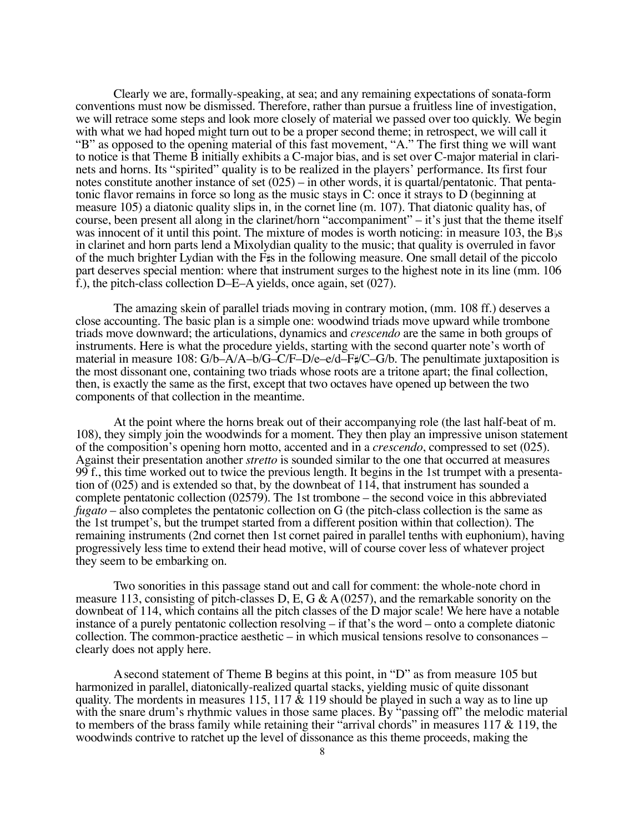Clearly we are, formally-speaking, at sea; and any remaining expectations of sonata-form conventions must now be dismissed. Therefore, rather than pursue a fruitless line of investigation, we will retrace some steps and look more closely of material we passed over too quickly. We begin with what we had hoped might turn out to be a proper second theme; in retrospect, we will call it "B" as opposed to the opening material of this fast movement, "A." The first thing we will want to notice is that Theme B initially exhibits a C-major bias, and is set over C-major material in clarinets and horns. Its "spirited" quality is to be realized in the players' performance. Its first four notes constitute another instance of set (025) – in other words, it is quartal/pentatonic. That pentatonic flavor remains in force so long as the music stays in C: once it strays to D (beginning at measure 105) a diatonic quality slips in, in the cornet line (m. 107). That diatonic quality has, of course, been present all along in the clarinet/horn "accompaniment" – it's just that the theme itself was innocent of it until this point. The mixture of modes is worth noticing: in measure 103, the B<sub>bs</sub> in clarinet and horn parts lend a Mixolydian quality to the music; that quality is overruled in favor of the much brighter Lydian with the  $F\sharp s$  in the following measure. One small detail of the piccolo part deserves special mention: where that instrument surges to the highest note in its line (mm. 106 f.), the pitch-class collection D–E–A yields, once again, set (027).

The amazing skein of parallel triads moving in contrary motion, (mm. 108 ff.) deserves a close accounting. The basic plan is a simple one: woodwind triads move upward while trombone triads move downward; the articulations, dynamics and *crescendo* are the same in both groups of instruments. Here is what the procedure yields, starting with the second quarter note's worth of material in measure 108:  $G/b - A/A - b/G - C/F - D/e - e/d - F\#/C - G/b$ . The penultimate juxtaposition is the most dissonant one, containing two triads whose roots are a tritone apart; the final collection, then, is exactly the same as the first, except that two octaves have opened up between the two components of that collection in the meantime.

At the point where the horns break out of their accompanying role (the last half-beat of m. 108), they simply join the woodwinds for a moment. They then play an impressive unison statement of the composition's opening horn motto, accented and in a *crescendo*, compressed to set (025). Against their presentation another *stretto* is sounded similar to the one that occurred at measures 99 f., this time worked out to twice the previous length. It begins in the 1st trumpet with a presentation of (025) and is extended so that, by the downbeat of 114, that instrument has sounded a complete pentatonic collection (02579). The 1st trombone – the second voice in this abbreviated *fugato* – also completes the pentatonic collection on G (the pitch-class collection is the same as the 1st trumpet's, but the trumpet started from a different position within that collection). The remaining instruments (2nd cornet then 1st cornet paired in parallel tenths with euphonium), having progressively less time to extend their head motive, will of course cover less of whatever project they seem to be embarking on.

Two sonorities in this passage stand out and call for comment: the whole-note chord in measure 113, consisting of pitch-classes D, E, G &  $A(0257)$ , and the remarkable sonority on the downbeat of 114, which contains all the pitch classes of the D major scale! We here have a notable instance of a purely pentatonic collection resolving – if that's the word – onto a complete diatonic collection. The common-practice aesthetic – in which musical tensions resolve to consonances – clearly does not apply here.

A second statement of Theme B begins at this point, in "D" as from measure 105 but harmonized in parallel, diatonically-realized quartal stacks, yielding music of quite dissonant quality. The mordents in measures 115, 117  $\&$  119 should be played in such a way as to line up with the snare drum's rhythmic values in those same places. By "passing off" the melodic material to members of the brass family while retaining their "arrival chords" in measures  $117 \& 119$ , the woodwinds contrive to ratchet up the level of dissonance as this theme proceeds, making the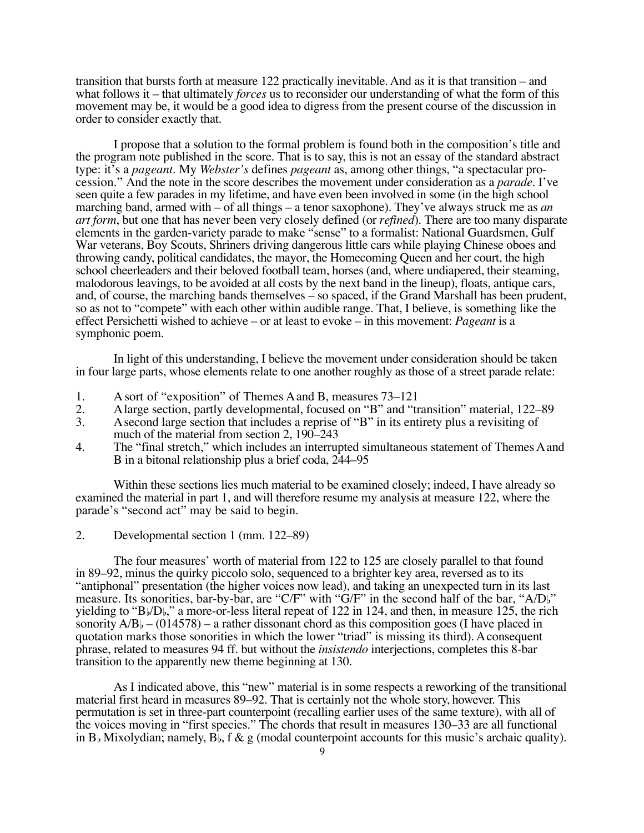transition that bursts forth at measure 122 practically inevitable. And as it is that transition – and what follows it – that ultimately *forces* us to reconsider our understanding of what the form of this movement may be, it would be a good idea to digress from the present course of the discussion in order to consider exactly that.

I propose that a solution to the formal problem is found both in the composition's title and the program note published in the score. That is to say, this is not an essay of the standard abstract type: it's a *pageant*. My *Webster's* defines *pageant* as, among other things, "a spectacular procession." And the note in the score describes the movement under consideration as a *parade*. I've seen quite a few parades in my lifetime, and have even been involved in some (in the high school marching band, armed with – of all things – a tenor saxophone). They've always struck me as *an art form*, but one that has never been very closely defined (or *refined*). There are too many disparate elements in the garden-variety parade to make "sense" to a formalist: National Guardsmen, Gulf War veterans, Boy Scouts, Shriners driving dangerous little cars while playing Chinese oboes and throwing candy, political candidates, the mayor, the Homecoming Queen and her court, the high school cheerleaders and their beloved football team, horses (and, where undiapered, their steaming, malodorous leavings, to be avoided at all costs by the next band in the lineup), floats, antique cars, and, of course, the marching bands themselves – so spaced, if the Grand Marshall has been prudent, so as not to "compete" with each other within audible range. That, I believe, is something like the effect Persichetti wished to achieve – or at least to evoke – in this movement: *Pageant* is a symphonic poem.

In light of this understanding, I believe the movement under consideration should be taken in four large parts, whose elements relate to one another roughly as those of a street parade relate:

- 1. A sort of "exposition" of Themes A and B, measures 73–121
- 2. A large section, partly developmental, focused on "B" and "transition" material, 122–89<br>3. A second large section that includes a reprise of "B" in its entirety plus a revisiting of
- A second large section that includes a reprise of "B" in its entirety plus a revisiting of much of the material from section 2, 190–243
- 4. The "final stretch," which includes an interrupted simultaneous statement of Themes A and B in a bitonal relationship plus a brief coda, 244–95

Within these sections lies much material to be examined closely; indeed, I have already so examined the material in part 1, and will therefore resume my analysis at measure 122, where the parade's "second act" may be said to begin.

2. Developmental section 1 (mm. 122–89)

The four measures' worth of material from 122 to 125 are closely parallel to that found in 89–92, minus the quirky piccolo solo, sequenced to a brighter key area, reversed as to its "antiphonal" presentation (the higher voices now lead), and taking an unexpected turn in its last measure. Its sonorities, bar-by-bar, are "C/F" with "G/F" in the second half of the bar, "A/D<sub>b</sub>" yielding to "B/D," a more-or-less literal repeat of 122 in 124, and then, in measure 125, the rich sonority  $A/B_b - (014578)$  – a rather dissonant chord as this composition goes (I have placed in quotation marks those sonorities in which the lower "triad" is missing its third). A consequent phrase, related to measures 94 ff. but without the *insistendo* interjections, completes this 8-bar transition to the apparently new theme beginning at 130.

As I indicated above, this "new" material is in some respects a reworking of the transitional material first heard in measures 89–92. That is certainly not the whole story, however. This permutation is set in three-part counterpoint (recalling earlier uses of the same texture), with all of the voices moving in "first species." The chords that result in measures 130–33 are all functional in B<sub>b</sub> Mixolydian; namely, B<sub>b</sub>, f & g (modal counterpoint accounts for this music's archaic quality).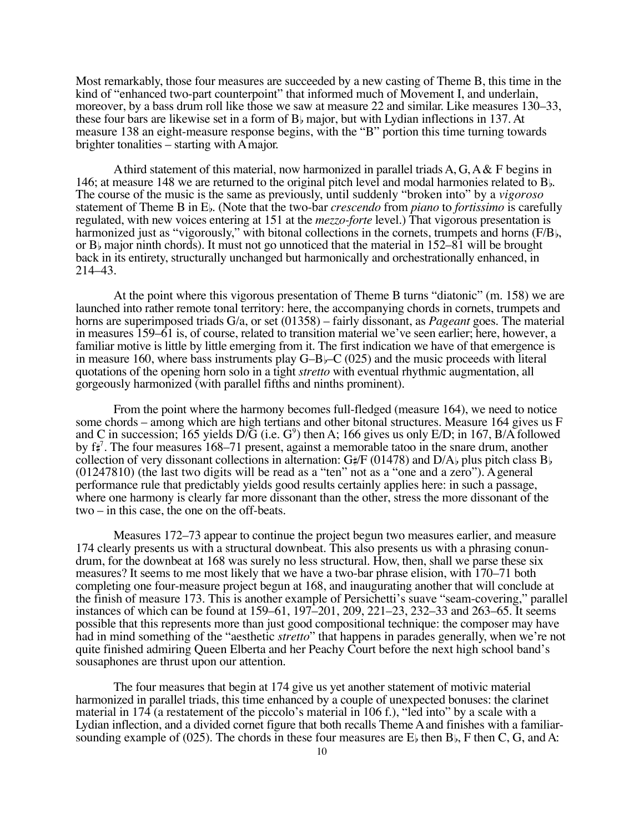Most remarkably, those four measures are succeeded by a new casting of Theme B, this time in the kind of "enhanced two-part counterpoint" that informed much of Movement I, and underlain, moreover, by a bass drum roll like those we saw at measure 22 and similar. Like measures 130–33, these four bars are likewise set in a form of  $B<sub>b</sub>$  major, but with Lydian inflections in 137. At measure 138 an eight-measure response begins, with the "B" portion this time turning towards brighter tonalities – starting with A major.

A third statement of this material, now harmonized in parallel triads  $A, G, A \& F$  begins in 146; at measure 148 we are returned to the original pitch level and modal harmonies related to  $B_{\rm b}$ . The course of the music is the same as previously, until suddenly "broken into" by a *vigoroso* statement of Theme B in E. (Note that the two-bar *crescendo* from *piano* to *fortissimo* is carefully regulated, with new voices entering at 151 at the *mezzo-forte* level.) That vigorous presentation is harmonized just as "vigorously," with bitonal collections in the cornets, trumpets and horns (F/B), or B<sub>b</sub> major ninth chords). It must not go unnoticed that the material in  $152-81$  will be brought back in its entirety, structurally unchanged but harmonically and orchestrationally enhanced, in 214–43.

At the point where this vigorous presentation of Theme B turns "diatonic" (m. 158) we are launched into rather remote tonal territory: here, the accompanying chords in cornets, trumpets and horns are superimposed triads G/a, or set (01358) – fairly dissonant, as *Pageant* goes. The material in measures 159–61 is, of course, related to transition material we've seen earlier; here, however, a familiar motive is little by little emerging from it. The first indication we have of that emergence is in measure 160, where bass instruments play  $G-B$  $\vdash$ C (025) and the music proceeds with literal quotations of the opening horn solo in a tight *stretto* with eventual rhythmic augmentation, all gorgeously harmonized (with parallel fifths and ninths prominent).

From the point where the harmony becomes full-fledged (measure 164), we need to notice some chords – among which are high tertians and other bitonal structures. Measure 164 gives us F and C in succession; 165 yields  $D/\tilde{G}$  (i.e.  $G^9$ ) then A; 166 gives us only E/D; in 167, B/A followed by f 7 . The four measures 168–71 present, against a memorable tatoo in the snare drum, another collection of very dissonant collections in alternation:  $G#F$  (01478) and D/A<sub>b</sub> plus pitch class B<sub>b</sub> (01247810) (the last two digits will be read as a "ten" not as a "one and a zero"). A general performance rule that predictably yields good results certainly applies here: in such a passage, where one harmony is clearly far more dissonant than the other, stress the more dissonant of the two – in this case, the one on the off-beats.

Measures 172–73 appear to continue the project begun two measures earlier, and measure 174 clearly presents us with a structural downbeat. This also presents us with a phrasing conundrum, for the downbeat at 168 was surely no less structural. How, then, shall we parse these six measures? It seems to me most likely that we have a two-bar phrase elision, with 170–71 both completing one four-measure project begun at 168, and inaugurating another that will conclude at the finish of measure 173. This is another example of Persichetti's suave "seam-covering," parallel instances of which can be found at 159–61, 197–201, 209, 221–23, 232–33 and 263–65. It seems possible that this represents more than just good compositional technique: the composer may have had in mind something of the "aesthetic *stretto*" that happens in parades generally, when we're not quite finished admiring Queen Elberta and her Peachy Court before the next high school band's sousaphones are thrust upon our attention.

The four measures that begin at 174 give us yet another statement of motivic material harmonized in parallel triads, this time enhanced by a couple of unexpected bonuses: the clarinet material in 174 (a restatement of the piccolo's material in 106 f.), "led into" by a scale with a Lydian inflection, and a divided cornet figure that both recalls Theme A and finishes with a familiarsounding example of (025). The chords in these four measures are  $E_b$  then B<sub>b</sub>, F then C, G, and A: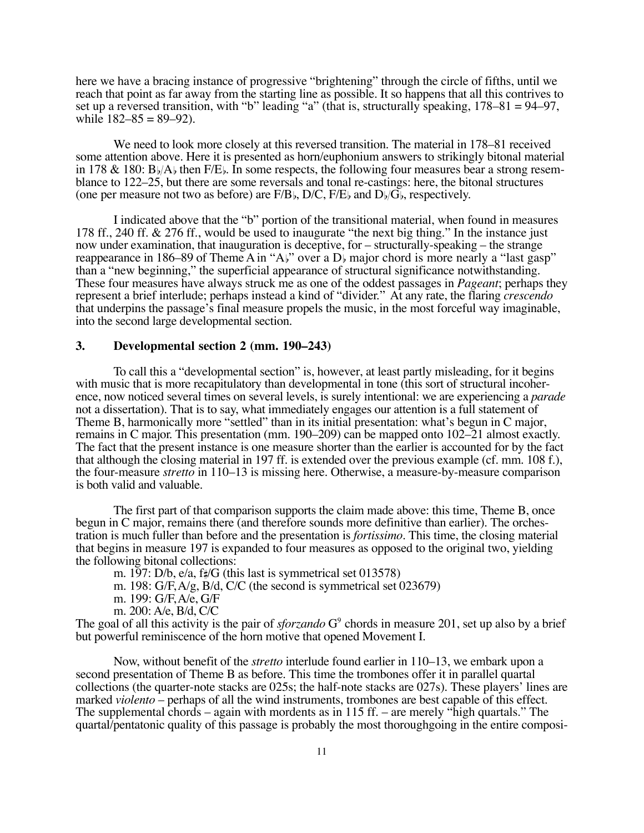here we have a bracing instance of progressive "brightening" through the circle of fifths, until we reach that point as far away from the starting line as possible. It so happens that all this contrives to set up a reversed transition, with "b" leading "a" (that is, structurally speaking, 178–81 = 94–97, while  $182-85 = 89-92$ ).

We need to look more closely at this reversed transition. The material in 178–81 received some attention above. Here it is presented as horn/euphonium answers to strikingly bitonal material in 178 & 180:  $B\mathcal{Y}(\mathcal{A})$  then  $F\mathcal{B}(\mathcal{B})$ . In some respects, the following four measures bear a strong resemblance to 122–25, but there are some reversals and tonal re-castings: here, the bitonal structures (one per measure not two as before) are  $F/B<sub>b</sub>$ , D/C,  $F/E<sub>b</sub>$  and  $D<sub>b</sub>/G<sub>b</sub>$ , respectively.

I indicated above that the "b" portion of the transitional material, when found in measures 178 ff., 240 ff. & 276 ff., would be used to inaugurate "the next big thing." In the instance just now under examination, that inauguration is deceptive, for – structurally-speaking – the strange reappearance in 186–89 of Theme A in "A $\mathfrak{h}$ " over a D<sub>b</sub> major chord is more nearly a "last gasp" than a "new beginning," the superficial appearance of structural significance notwithstanding. These four measures have always struck me as one of the oddest passages in *Pageant*; perhaps they represent a brief interlude; perhaps instead a kind of "divider." At any rate, the flaring *crescendo* that underpins the passage's final measure propels the music, in the most forceful way imaginable, into the second large developmental section.

#### **3. Developmental section 2 (mm. 190–243)**

To call this a "developmental section" is, however, at least partly misleading, for it begins with music that is more recapitulatory than developmental in tone (this sort of structural incoherence, now noticed several times on several levels, is surely intentional: we are experiencing a *parade* not a dissertation). That is to say, what immediately engages our attention is a full statement of Theme B, harmonically more "settled" than in its initial presentation: what's begun in C major, remains in C major. This presentation (mm. 190–209) can be mapped onto 102–21 almost exactly. The fact that the present instance is one measure shorter than the earlier is accounted for by the fact that although the closing material in 197 ff. is extended over the previous example (cf. mm. 108 f.), the four-measure *stretto* in 110–13 is missing here. Otherwise, a measure-by-measure comparison is both valid and valuable.

The first part of that comparison supports the claim made above: this time, Theme B, once begun in C major, remains there (and therefore sounds more definitive than earlier). The orchestration is much fuller than before and the presentation is *fortissimo*. This time, the closing material that begins in measure 197 is expanded to four measures as opposed to the original two, yielding the following bitonal collections:

m. 197: D/b, e/a, f $\sharp$ /G (this last is symmetrical set 013578)

m. 198: G/F, A/g, B/d, C/C (the second is symmetrical set 023679)

m. 199: G/F, A/e, G/F

m. 200: A/e, B/d, C/C

The goal of all this activity is the pair of *sforzando* G<sup>9</sup> chords in measure 201, set up also by a brief but powerful reminiscence of the horn motive that opened Movement I.

Now, without benefit of the *stretto* interlude found earlier in 110–13, we embark upon a second presentation of Theme B as before. This time the trombones offer it in parallel quartal collections (the quarter-note stacks are 025s; the half-note stacks are 027s). These players' lines are marked *violento* – perhaps of all the wind instruments, trombones are best capable of this effect. The supplemental chords – again with mordents as in 115 ff. – are merely "high quartals." The quartal/pentatonic quality of this passage is probably the most thoroughgoing in the entire composi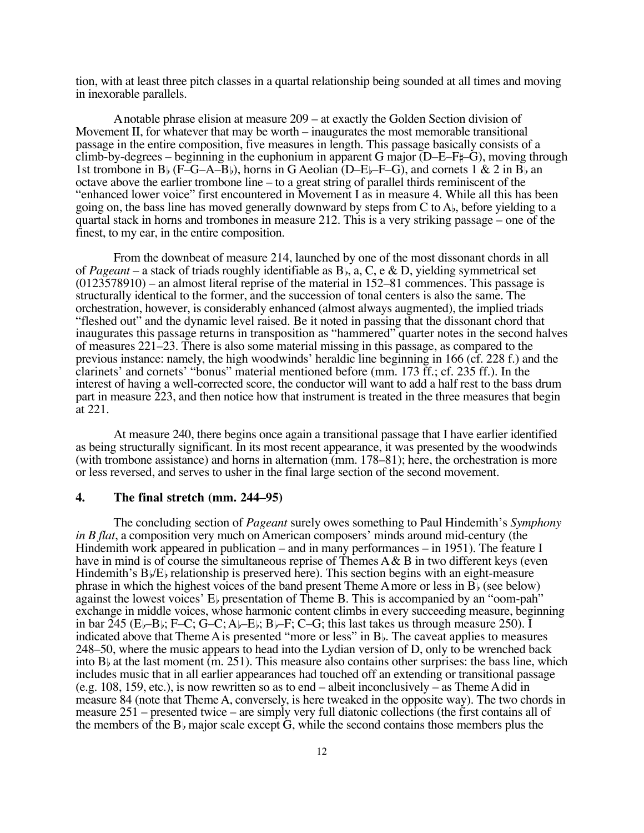tion, with at least three pitch classes in a quartal relationship being sounded at all times and moving in inexorable parallels.

A notable phrase elision at measure 209 – at exactly the Golden Section division of Movement II, for whatever that may be worth – inaugurates the most memorable transitional passage in the entire composition, five measures in length. This passage basically consists of a climb-by-degrees – beginning in the euphonium in apparent G major ( $D-E-F^*$ –G), moving through 1st trombone in B<sub>b</sub> (F–G–A–B<sub>b</sub>), horns in G Aeolian (D–E<sub>b</sub>–F–G), and cornets 1 & 2 in B<sub>b</sub> an octave above the earlier trombone line – to a great string of parallel thirds reminiscent of the "enhanced lower voice" first encountered in Movement I as in measure 4. While all this has been going on, the bass line has moved generally downward by steps from  $C$  to  $A<sub>b</sub>$ , before yielding to a quartal stack in horns and trombones in measure 212. This is a very striking passage – one of the finest, to my ear, in the entire composition.

From the downbeat of measure 214, launched by one of the most dissonant chords in all of *Pageant* – a stack of triads roughly identifiable as B, a, C, e & D, yielding symmetrical set (0123578910) – an almost literal reprise of the material in 152–81 commences. This passage is structurally identical to the former, and the succession of tonal centers is also the same. The orchestration, however, is considerably enhanced (almost always augmented), the implied triads "fleshed out" and the dynamic level raised. Be it noted in passing that the dissonant chord that inaugurates this passage returns in transposition as "hammered" quarter notes in the second halves of measures 221–23. There is also some material missing in this passage, as compared to the previous instance: namely, the high woodwinds' heraldic line beginning in 166 (cf. 228 f.) and the clarinets' and cornets' "bonus" material mentioned before (mm. 173 ff.; cf. 235 ff.). In the interest of having a well-corrected score, the conductor will want to add a half rest to the bass drum part in measure 223, and then notice how that instrument is treated in the three measures that begin at 221.

At measure 240, there begins once again a transitional passage that I have earlier identified as being structurally significant. In its most recent appearance, it was presented by the woodwinds (with trombone assistance) and horns in alternation (mm. 178–81); here, the orchestration is more or less reversed, and serves to usher in the final large section of the second movement.

#### **4. The final stretch (mm. 244–95)**

The concluding section of *Pageant* surely owes something to Paul Hindemith's *Symphony in B flat*, a composition very much on American composers' minds around mid-century (the Hindemith work appeared in publication – and in many performances – in 1951). The feature I have in mind is of course the simultaneous reprise of Themes  $A \& B$  in two different keys (even Hindemith's  $B\sqrt{E}$  relationship is preserved here). This section begins with an eight-measure phrase in which the highest voices of the band present Theme A more or less in  $\overline{B}_b$  (see below) against the lowest voices'  $E<sub>b</sub>$  presentation of Theme B. This is accompanied by an "oom-pah" exchange in middle voices, whose harmonic content climbs in every succeeding measure, beginning in bar  $245$  (E<sub>b</sub>–B<sub>b</sub>; F–C; G–C; A<sub>b</sub>–E<sub>b</sub>; B<sub>b</sub>–F; C–G; this last takes us through measure 250). I indicated above that Theme A is presented "more or less" in  $B_{\nu}$ . The caveat applies to measures 248–50, where the music appears to head into the Lydian version of D, only to be wrenched back into  $B<sub>b</sub>$  at the last moment (m. 251). This measure also contains other surprises: the bass line, which includes music that in all earlier appearances had touched off an extending or transitional passage (e.g. 108, 159, etc.), is now rewritten so as to end – albeit inconclusively – as Theme A did in measure 84 (note that Theme A, conversely, is here tweaked in the opposite way). The two chords in measure 251 – presented twice – are simply very full diatonic collections (the first contains all of the members of the  $B_{\flat}$  major scale except G, while the second contains those members plus the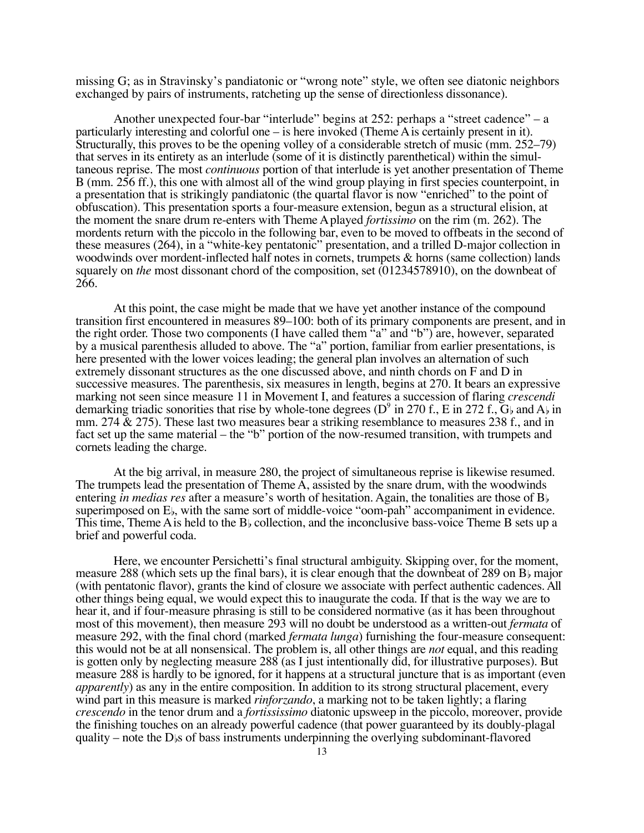missing G; as in Stravinsky's pandiatonic or "wrong note" style, we often see diatonic neighbors exchanged by pairs of instruments, ratcheting up the sense of directionless dissonance).

Another unexpected four-bar "interlude" begins at 252: perhaps a "street cadence" – a particularly interesting and colorful one – is here invoked (Theme A is certainly present in it). Structurally, this proves to be the opening volley of a considerable stretch of music (mm. 252–79) that serves in its entirety as an interlude (some of it is distinctly parenthetical) within the simultaneous reprise. The most *continuous* portion of that interlude is yet another presentation of Theme B (mm. 256 ff.), this one with almost all of the wind group playing in first species counterpoint, in a presentation that is strikingly pandiatonic (the quartal flavor is now "enriched" to the point of obfuscation). This presentation sports a four-measure extension, begun as a structural elision, at the moment the snare drum re-enters with Theme A played *fortissimo* on the rim (m. 262). The mordents return with the piccolo in the following bar, even to be moved to offbeats in the second of these measures (264), in a "white-key pentatonic" presentation, and a trilled D-major collection in woodwinds over mordent-inflected half notes in cornets, trumpets & horns (same collection) lands squarely on *the* most dissonant chord of the composition, set (01234578910), on the downbeat of 266.

At this point, the case might be made that we have yet another instance of the compound transition first encountered in measures 89–100: both of its primary components are present, and in the right order. Those two components (I have called them "a" and "b") are, however, separated by a musical parenthesis alluded to above. The "a" portion, familiar from earlier presentations, is here presented with the lower voices leading; the general plan involves an alternation of such extremely dissonant structures as the one discussed above, and ninth chords on F and D in successive measures. The parenthesis, six measures in length, begins at 270. It bears an expressive marking not seen since measure 11 in Movement I, and features a succession of flaring *crescendi* demarking triadic sonorities that rise by whole-tone degrees (D<sup>9</sup> in 270 f., E in 272 f.,  $G_{\flat}$  and A $_{\flat}$  in mm. 274 & 275). These last two measures bear a striking resemblance to measures 238 f., and in fact set up the same material – the "b" portion of the now-resumed transition, with trumpets and cornets leading the charge.

At the big arrival, in measure 280, the project of simultaneous reprise is likewise resumed. The trumpets lead the presentation of Theme A, assisted by the snare drum, with the woodwinds entering *in medias res* after a measure's worth of hesitation. Again, the tonalities are those of B superimposed on E<sub>b</sub>, with the same sort of middle-voice "oom-pah" accompaniment in evidence. This time, Theme A is held to the  $B<sub>b</sub>$  collection, and the inconclusive bass-voice Theme B sets up a brief and powerful coda.

Here, we encounter Persichetti's final structural ambiguity. Skipping over, for the moment, measure 288 (which sets up the final bars), it is clear enough that the downbeat of 289 on  $B<sub>b</sub>$  major (with pentatonic flavor), grants the kind of closure we associate with perfect authentic cadences. All other things being equal, we would expect this to inaugurate the coda. If that is the way we are to hear it, and if four-measure phrasing is still to be considered normative (as it has been throughout most of this movement), then measure 293 will no doubt be understood as a written-out *fermata* of measure 292, with the final chord (marked *fermata lunga*) furnishing the four-measure consequent: this would not be at all nonsensical. The problem is, all other things are *not* equal, and this reading is gotten only by neglecting measure 288 (as I just intentionally did, for illustrative purposes). But measure 288 is hardly to be ignored, for it happens at a structural juncture that is as important (even *apparently*) as any in the entire composition. In addition to its strong structural placement, every wind part in this measure is marked *rinforzando*, a marking not to be taken lightly; a flaring *crescendo* in the tenor drum and a *fortississimo* diatonic upsweep in the piccolo, moreover, provide the finishing touches on an already powerful cadence (that power guaranteed by its doubly-plagal quality – note the  $D$ <sub>b</sub>s of bass instruments underpinning the overlying subdominant-flavored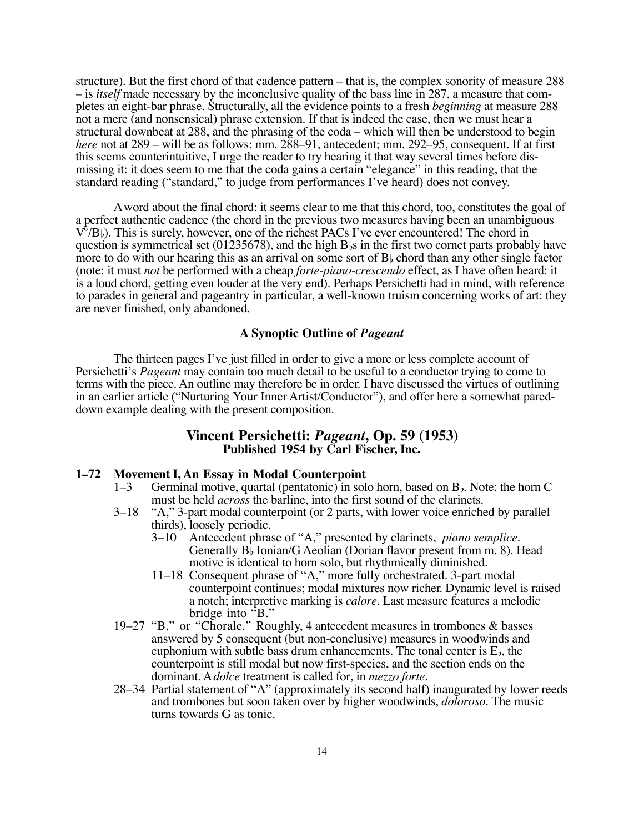structure). But the first chord of that cadence pattern – that is, the complex sonority of measure 288 – is *itself* made necessary by the inconclusive quality of the bass line in 287, a measure that completes an eight-bar phrase. Structurally, all the evidence points to a fresh *beginning* at measure 288 not a mere (and nonsensical) phrase extension. If that is indeed the case, then we must hear a structural downbeat at 288, and the phrasing of the coda – which will then be understood to begin *here* not at 289 – will be as follows: mm. 288–91, antecedent; mm. 292–95, consequent. If at first this seems counterintuitive, I urge the reader to try hearing it that way several times before dismissing it: it does seem to me that the coda gains a certain "elegance" in this reading, that the standard reading ("standard," to judge from performances I've heard) does not convey.

A word about the final chord: it seems clear to me that this chord, too, constitutes the goal of a perfect authentic cadence (the chord in the previous two measures having been an unambiguous  $V^{\delta}/B$ . This is surely, however, one of the richest PACs I've ever encountered! The chord in question is symmetrical set (01235678), and the high  $B$ <sub>is</sub> in the first two cornet parts probably have more to do with our hearing this as an arrival on some sort of  $B_{\flat}$  chord than any other single factor (note: it must *not* be performed with a cheap *forte-piano-crescendo* effect, as I have often heard: it is a loud chord, getting even louder at the very end). Perhaps Persichetti had in mind, with reference to parades in general and pageantry in particular, a well-known truism concerning works of art: they are never finished, only abandoned.

# **A Synoptic Outline of** *Pageant*

The thirteen pages I've just filled in order to give a more or less complete account of Persichetti's *Pageant* may contain too much detail to be useful to a conductor trying to come to terms with the piece. An outline may therefore be in order. I have discussed the virtues of outlining in an earlier article ("Nurturing Your Inner Artist/Conductor"), and offer here a somewhat pareddown example dealing with the present composition.

#### **Vincent Persichetti:** *Pageant***, Op. 59 (1953) Published 1954 by Carl Fischer, Inc.**

# **1–72 Movement I, An Essay in Modal Counterpoint**

- Germinal motive, quartal (pentatonic) in solo horn, based on  $B_{\flat}$ . Note: the horn C must be held *across* the barline, into the first sound of the clarinets.
- 3–18 "A," 3-part modal counterpoint (or 2 parts, with lower voice enriched by parallel thirds), loosely periodic.<br>3–10 Antecedent phras
	- 3–10 Antecedent phrase of "A," presented by clarinets, *piano semplice*. Generally  $B$ <sub>b</sub> Ionian/G Aeolian (Dorian flavor present from m. 8). Head motive is identical to horn solo, but rhythmically diminished.
	- 11–18 Consequent phrase of "A," more fully orchestrated. 3-part modal counterpoint continues; modal mixtures now richer. Dynamic level is raised a notch; interpretive marking is *calore*. Last measure features a melodic bridge into "B."
- 19–27 "B," or "Chorale." Roughly, 4 antecedent measures in trombones & basses answered by 5 consequent (but non-conclusive) measures in woodwinds and euphonium with subtle bass drum enhancements. The tonal center is  $E_{\flat}$ , the counterpoint is still modal but now first-species, and the section ends on the dominant. A *dolce* treatment is called for, in *mezzo forte*.
- 28–34 Partial statement of "A" (approximately its second half) inaugurated by lower reeds and trombones but soon taken over by higher woodwinds, *doloroso*. The music turns towards G as tonic.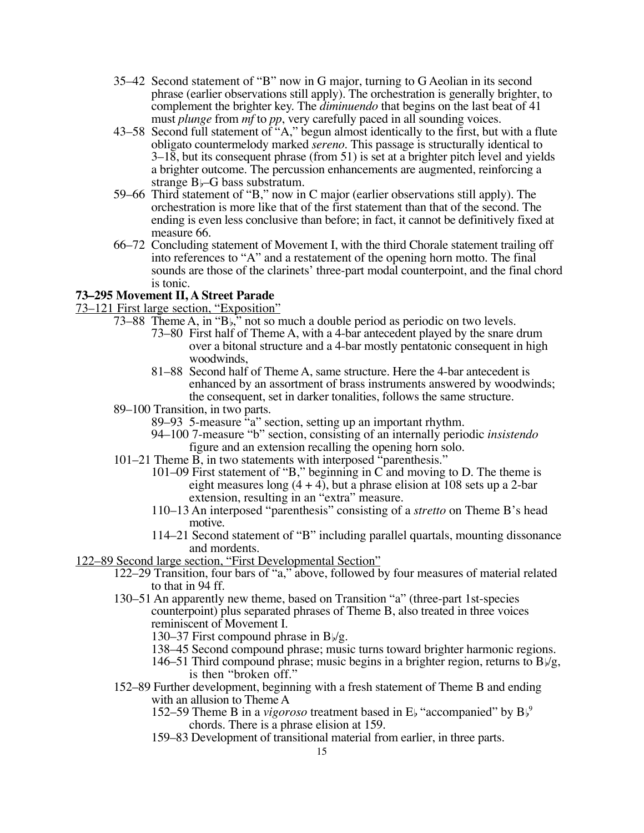- 35–42 Second statement of "B" now in G major, turning to G Aeolian in its second phrase (earlier observations still apply). The orchestration is generally brighter, to complement the brighter key. The *diminuendo* that begins on the last beat of 41 must *plunge* from *mf* to *pp*, very carefully paced in all sounding voices.
- 43–58 Second full statement of "A," begun almost identically to the first, but with a flute obligato countermelody marked *sereno*. This passage is structurally identical to  $3-18$ , but its consequent phrase (from 51) is set at a brighter pitch level and yields a brighter outcome. The percussion enhancements are augmented, reinforcing a strange  $B$ –G bass substratum.
- 59–66 Third statement of "B," now in C major (earlier observations still apply). The orchestration is more like that of the first statement than that of the second. The ending is even less conclusive than before; in fact, it cannot be definitively fixed at measure 66.
- 66–72 Concluding statement of Movement I, with the third Chorale statement trailing off into references to "A" and a restatement of the opening horn motto. The final sounds are those of the clarinets' three-part modal counterpoint, and the final chord is tonic.

# **73–295 Movement II, A Street Parade**

73–121 First large section, "Exposition"

- 73–88 Theme A, in " $B<sub>b</sub>$ ," not so much a double period as periodic on two levels.
	- 73–80 First half of Theme A, with a 4-bar antecedent played by the snare drum over a bitonal structure and a 4-bar mostly pentatonic consequent in high woodwinds,
	- 81–88 Second half of Theme A, same structure. Here the 4-bar antecedent is enhanced by an assortment of brass instruments answered by woodwinds; the consequent, set in darker tonalities, follows the same structure.
- 89–100 Transition, in two parts.
	- 89–93 5-measure "a" section, setting up an important rhythm.
	- 94–100 7-measure "b" section, consisting of an internally periodic *insistendo* figure and an extension recalling the opening horn solo.
- 101–21 Theme B, in two statements with interposed "parenthesis."
	- 101–09 First statement of "B," beginning in C and moving to D. The theme is eight measures long  $(4 + 4)$ , but a phrase elision at 108 sets up a 2-bar extension, resulting in an "extra" measure.
	- 110–13 An interposed "parenthesis" consisting of a *stretto* on Theme B's head motive.
	- 114–21 Second statement of "B" including parallel quartals, mounting dissonance and mordents.
- 122–89 Second large section, "First Developmental Section"
	- 122–29 Transition, four bars of "a," above, followed by four measures of material related to that in 94 ff.
	- 130–51 An apparently new theme, based on Transition "a" (three-part 1st-species counterpoint) plus separated phrases of Theme B, also treated in three voices reminiscent of Movement I.

130–37 First compound phrase in  $B\frac{1}{2}g$ .

- 138–45 Second compound phrase; music turns toward brighter harmonic regions.
- 146–51 Third compound phrase; music begins in a brighter region, returns to  $B\frac{1}{g}$ , is then "broken off."
- 152–89 Further development, beginning with a fresh statement of Theme B and ending with an allusion to Theme A
	- 152–59 Theme B in a *vigoroso* treatment based in  $E<sub>b</sub>$  "accompanied" by  $B<sub>b</sub>$ <sup>9</sup> chords. There is a phrase elision at 159.
	- 159–83 Development of transitional material from earlier, in three parts.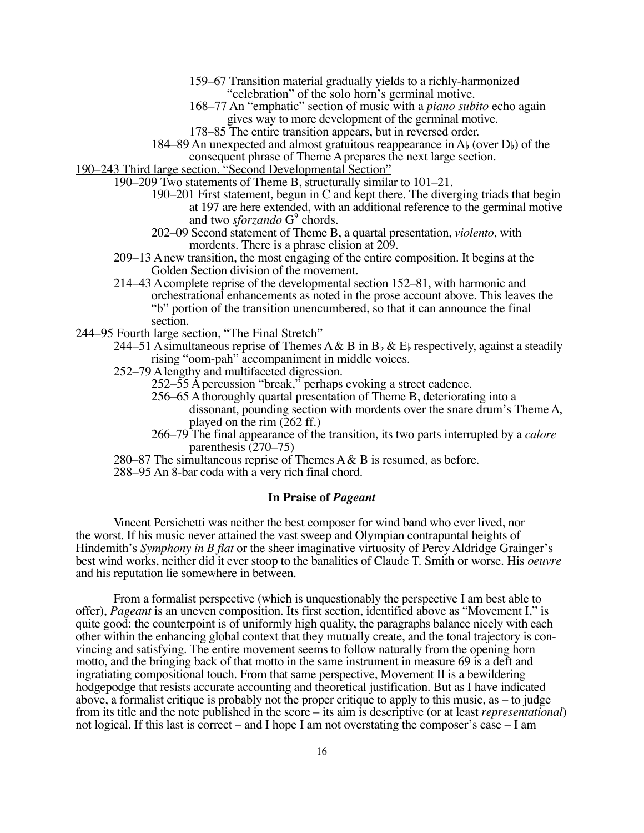- 159–67 Transition material gradually yields to a richly-harmonized "celebration" of the solo horn's germinal motive.
- 168–77 An "emphatic" section of music with a *piano subito* echo again gives way to more development of the germinal motive.
- 178–85 The entire transition appears, but in reversed order.
- 184–89 An unexpected and almost gratuitous reappearance in  $A<sub>b</sub>$  (over  $D<sub>b</sub>$ ) of the consequent phrase of Theme A prepares the next large section.

190–243 Third large section, "Second Developmental Section"

- 190–209 Two statements of Theme B, structurally similar to 101–21.
	- 190–201 First statement, begun in C and kept there. The diverging triads that begin at 197 are here extended, with an additional reference to the germinal motive and two *sforzando* G<sup>9</sup> chords.
	- 202–09 Second statement of Theme B, a quartal presentation, *violento*, with mordents. There is a phrase elision at 209.
	- 209–13 A new transition, the most engaging of the entire composition. It begins at the Golden Section division of the movement.
	- 214–43 A complete reprise of the developmental section 152–81, with harmonic and orchestrational enhancements as noted in the prose account above. This leaves the "b" portion of the transition unencumbered, so that it can announce the final section.
- 244–95 Fourth large section, "The Final Stretch"
	- 244–51 A simultaneous reprise of Themes A & B in B<sub>b</sub> & E<sub>b</sub> respectively, against a steadily rising "oom-pah" accompaniment in middle voices.
	- 252–79 A lengthy and multifaceted digression.
		- 252–55 A percussion "break," perhaps evoking a street cadence.
		- 256–65 A thoroughly quartal presentation of Theme B, deteriorating into a dissonant, pounding section with mordents over the snare drum's Theme A, played on the rim (262 ff.)
		- 266–79 The final appearance of the transition, its two parts interrupted by a *calore* parenthesis (270–75)
	- 280–87 The simultaneous reprise of Themes  $A & B$  is resumed, as before.
	- 288–95 An 8-bar coda with a very rich final chord.

#### **In Praise of** *Pageant*

Vincent Persichetti was neither the best composer for wind band who ever lived, nor the worst. If his music never attained the vast sweep and Olympian contrapuntal heights of Hindemith's *Symphony in B flat* or the sheer imaginative virtuosity of Percy Aldridge Grainger's best wind works, neither did it ever stoop to the banalities of Claude T. Smith or worse. His *oeuvre* and his reputation lie somewhere in between.

From a formalist perspective (which is unquestionably the perspective I am best able to offer), *Pageant* is an uneven composition. Its first section, identified above as "Movement I," is quite good: the counterpoint is of uniformly high quality, the paragraphs balance nicely with each other within the enhancing global context that they mutually create, and the tonal trajectory is convincing and satisfying. The entire movement seems to follow naturally from the opening horn motto, and the bringing back of that motto in the same instrument in measure 69 is a deft and ingratiating compositional touch. From that same perspective, Movement II is a bewildering hodgepodge that resists accurate accounting and theoretical justification. But as I have indicated above, a formalist critique is probably not the proper critique to apply to this music, as – to judge from its title and the note published in the score – its aim is descriptive (or at least *representational*) not logical. If this last is correct – and I hope I am not overstating the composer's case – I am